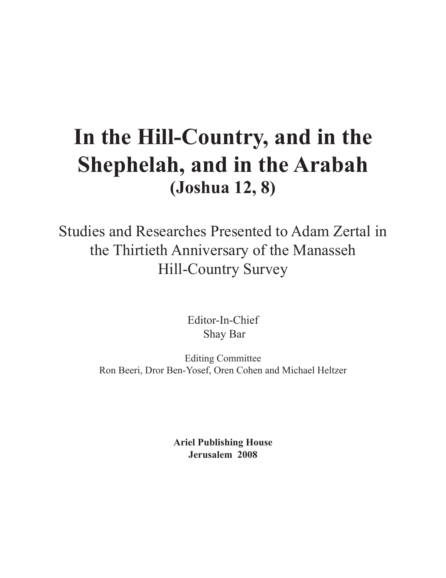# **In the Hill-Country, and in the Shephelah, and in the Arabah (Joshua 12, 8)**

Studies and Researches Presented to Adam Zertal in the Thirtieth Anniversary of the Manasseh Hill-Country Survey

> Editor-In-Chief Shay Bar

Editing Committee Ron Beeri, Dror Ben-Yosef, Oren Cohen and Michael Heltzer

> **Ariel Publishing House Jerusalem 2008**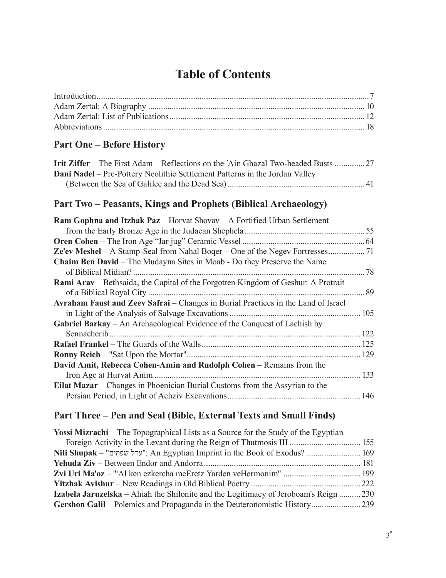## **Table of Contents**

### **Part One – Before History**

| <b>Dani Nadel</b> – Pre-Pottery Neolithic Settlement Patterns in the Jordan Valley |  |
|------------------------------------------------------------------------------------|--|
|                                                                                    |  |

#### **Part Two – Peasants, Kings and Prophets (Biblical Archaeology)**

| Ram Gophna and Itzhak Paz - Horvat Shovav - A Fortified Urban Settlement          |     |
|-----------------------------------------------------------------------------------|-----|
|                                                                                   | 55  |
|                                                                                   |     |
|                                                                                   |     |
| <b>Chaim Ben David</b> – The Mudayna Sites in Moab - Do they Preserve the Name    |     |
| of Biblical Midian?                                                               | 78  |
| Rami Arav – Bethsaida, the Capital of the Forgotten Kingdom of Geshur: A Protrait |     |
| of a Biblical Royal City                                                          | 89  |
| Avraham Faust and Zeev Safrai - Changes in Burial Practices in the Land of Israel |     |
|                                                                                   | 105 |
| <b>Gabriel Barkay</b> – An Archaeological Evidence of the Conquest of Lachish by  |     |
|                                                                                   | 122 |
|                                                                                   |     |
| <b>Ronny Reich – "Sat Upon the Mortar"</b>                                        | 129 |
| David Amit, Rebecca Cohen-Amin and Rudolph Cohen - Remains from the               |     |
|                                                                                   | 133 |
| Eilat Mazar – Changes in Phoenician Burial Customs from the Assyrian to the       |     |
|                                                                                   | 146 |

### **Part Three – Pen and Seal (Bible, External Texts and Small Finds)**

| <b>Yossi Mizrachi</b> – The Topographical Lists as a Source for the Study of the Egyptian |  |
|-------------------------------------------------------------------------------------------|--|
|                                                                                           |  |
| Nili Shupak – "ערל שפתים": An Egyptian Imprint in the Book of Exodus?  169                |  |
|                                                                                           |  |
|                                                                                           |  |
|                                                                                           |  |
| Izabela Jaruzelska – Ahiah the Shilonite and the Legitimacy of Jeroboam's Reign  230      |  |
|                                                                                           |  |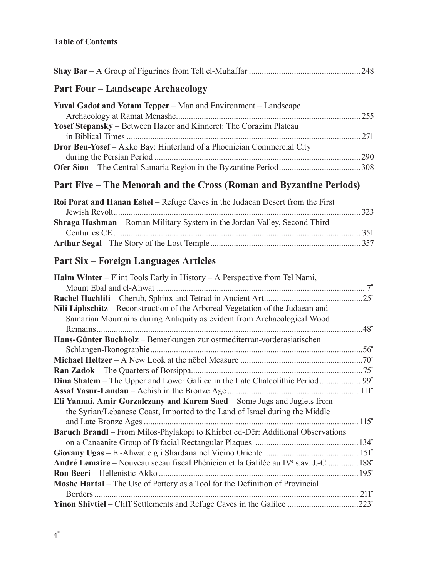| <b>Part Four – Landscape Archaeology</b>                                                                    |     |
|-------------------------------------------------------------------------------------------------------------|-----|
| Yuval Gadot and Yotam Tepper – Man and Environment – Landscape                                              |     |
|                                                                                                             |     |
| Yosef Stepansky - Between Hazor and Kinneret: The Corazim Plateau                                           |     |
|                                                                                                             | 271 |
| Dror Ben-Yosef - Akko Bay: Hinterland of a Phoenician Commercial City                                       |     |
|                                                                                                             |     |
| Part Five – The Menorah and the Cross (Roman and Byzantine Periods)                                         |     |
| Roi Porat and Hanan Eshel - Refuge Caves in the Judaean Desert from the First                               |     |
|                                                                                                             |     |
| Shraga Hashman - Roman Military System in the Jordan Valley, Second-Third                                   |     |
|                                                                                                             |     |
|                                                                                                             |     |
| <b>Part Six – Foreign Languages Articles</b>                                                                |     |
| <b>Haim Winter</b> – Flint Tools Early in History – A Perspective from Tel Nami,                            |     |
|                                                                                                             |     |
|                                                                                                             |     |
| Nili Liphschitz – Reconstruction of the Arboreal Vegetation of the Judaean and                              |     |
| Samarian Mountains during Antiquity as evident from Archaeological Wood                                     |     |
|                                                                                                             |     |
| Hans-Günter Buchholz - Bemerkungen zur ostmediterran-vorderasiatischen                                      |     |
|                                                                                                             |     |
|                                                                                                             |     |
|                                                                                                             |     |
|                                                                                                             |     |
|                                                                                                             |     |
| Eli Yannai, Amir Gorzalczany and Karem Saed - Some Jugs and Juglets from                                    |     |
| the Syrian/Lebanese Coast, Imported to the Land of Israel during the Middle                                 |     |
|                                                                                                             |     |
| Baruch Brandl - From Milos-Phylakopi to Khirbet ed-Dēr: Additional Observations                             |     |
|                                                                                                             |     |
|                                                                                                             |     |
| André Lemaire – Nouveau sceau fiscal Phénicien et la Galilée au IV <sup>e</sup> s.av. J.-C 188 <sup>*</sup> |     |
|                                                                                                             |     |
| Moshe Hartal - The Use of Pottery as a Tool for the Definition of Provincial                                |     |
|                                                                                                             |     |
| Yinon Shivtiel – Cliff Settlements and Refuge Caves in the Galilee 223*                                     |     |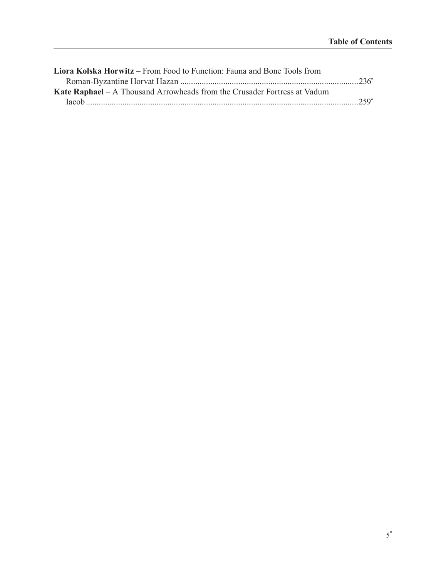| <b>Liora Kolska Horwitz</b> – From Food to Function: Fauna and Bone Tools from |        |
|--------------------------------------------------------------------------------|--------|
|                                                                                |        |
| Kate Raphael – A Thousand Arrowheads from the Crusader Fortress at Vadum       |        |
|                                                                                | $259*$ |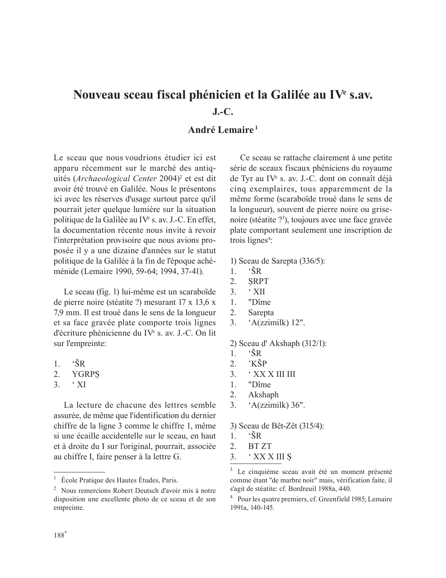## Nouveau sceau fiscal phénicien et la Galilée au IV<sup>e</sup> s.av. **J.-C.**

#### **André Lemaire <sup>1</sup>**

Le sceau que nous voudrions étudier ici est apparu récemment sur le marché des antiquités (Archaeological Center 2004)<sup>2</sup> et est dit avoir été trouvé en Galilée. Nous le présentons ici avec les réserves d'usage surtout parce qu'il pourrait jeter quelque lumière sur la situation politique de la Galilée au IV<sup>e</sup> s. av. J.-C. En effet, la documentation récente nous invite à revoir l'interprétation provisoire que nous avions proposée il y a une dizaine d'années sur le statut politique de la Galilée à la fin de l'époque achéménide (Lemaire 1990, 59-64; 1994, 37-41).

Le sceau (fig. 1) lui-même est un scaraboïde de pierre noire (stéatite ?) mesurant 17 x 13,6 x 7,9 mm. Il est troué dans le sens de la longueur et sa face gravée plate comporte trois lignes d'écriture phénicienne du IVe s. av. J.-C. On lit sur l'empreinte:

- 1.  $\widetilde{S}R$
- 2. YGRP
- $3 \cdot \overline{X}$

La lecture de chacune des lettres semble assurée, de même que l'identification du dernier chiffre de la ligne 3 comme le chiffre 1, même si une écaille accidentelle sur le sceau, en haut et à droite du I sur l'original, pourrait, associée au chiffre I, faire penser à la lettre G.

Ce sceau se rattache clairement à une petite série de sceaux fiscaux phéniciens du royaume de Tyr au IVe s. av. J.-C. dont on connaît déjà cinq exemplaires, tous apparemment de la même forme (scaraboïde troué dans le sens de la longueur), souvent de pierre noire ou grisenoire (stéatite ?3 ), toujours avec une face gravée plate comportant seulement une inscription de trois lignes<sup>4</sup>:

1) Sceau de Sarepta (336/5):

- $1.$  ' $\text{SR}$
- 2. RPT
- $3 \cdot \overline{XII}$
- 1. "Dîme
- 2. Sarepta
- 3. 'A(zzimilk) 12".

2) Sceau d' Akshaph (312/1):

- 1.  $\widetilde{S}R$
- 2.  $\overrightarrow{KSP}$
- $3.$   $*$  XX X III III
- 1. "Dîme
- 2. Akshaph
- 3. 'A(zzimilk) 36".

3) Sceau de Bêt-Zêt (315/4):

- $1.$  'SR
- 2. BT ZT
- $3.$  ' XX X III S

<sup>&</sup>lt;sup>1</sup> École Pratique des Hautes Études, Paris.

<sup>2</sup> Nous remercions Robert Deutsch d'avoir mis à notre disposition une excellente photo de ce sceau et de son empreinte.

<sup>3</sup> Le cinquième sceau avait été un moment présenté comme étant "de marbre noir" mais, vérification faite, il s'agit de stéatite: cf. Bordreuil 1988a, 440.

<sup>4</sup> Pour les quatre premiers, cf. Greenfield 1985; Lemaire 1991a, 140-145.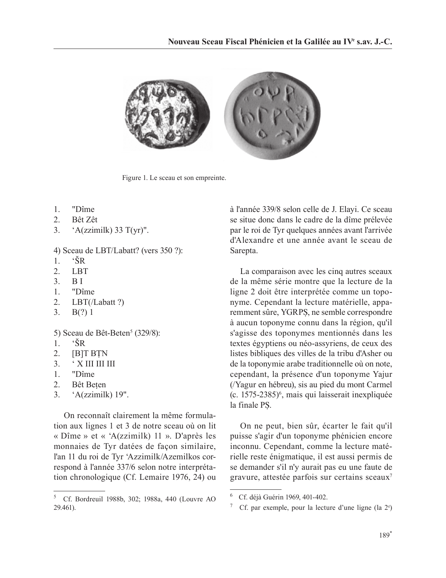

Figure 1. Le sceau et son empreinte.

- 1. "Dîme
- 2. Bêt Zêt
- 3. 'A(zzimilk) 33 T(yr)".

4) Sceau de LBT/Labatt? (vers 350 ?):

- $1$  'SR
- 2. LBT
- 3. B I
- 1. "Dîme
- 2. LBT(/Labatt ?)
- 3. B(?) 1

5) Sceau de Bêt-Beten<sup>5</sup> (329/8):

- $1.$  ' $\text{SR}$
- 2.  $[B]T BTN$
- $3.$   $^{\circ}$  X III III III
- 1. "Dîme
- 2. Bêt Beten
- 3. 'A(zzimilk) 19".

On reconnaît clairement la même formulation aux lignes 1 et 3 de notre sceau où on lit « Dîme » et « 'A(zzimilk) 11 ». D'après les monnaies de Tyr datées de façon similaire, l'an 11 du roi de Tyr 'Azzimilk/Azemilkos correspond à l'année 337/6 selon notre interprétation chronologique (Cf. Lemaire 1976, 24) ou

à l'année 339/8 selon celle de J. Elayi. Ce sceau se situe donc dans le cadre de la dîme prélevée par le roi de Tyr quelques années avant l'arrivée d'Alexandre et une année avant le sceau de Sarepta.

La comparaison avec les cinq autres sceaux de la même série montre que la lecture de la ligne 2 doit être interprétée comme un toponyme. Cependant la lecture matérielle, apparemment sûre, YGRPS, ne semble correspondre à aucun toponyme connu dans la région, qu'il s'agisse des toponymes mentionnés dans les textes égyptiens ou néo-assyriens, de ceux des listes bibliques des villes de la tribu d'Asher ou de la toponymie arabe traditionnelle où on note, cependant, la présence d'un toponyme Yajur (/Yagur en hébreu), sis au pied du mont Carmel (c. 1575-2385)6 , mais qui laisserait inexpliquée la finale PS.

On ne peut, bien sûr, écarter le fait qu'il puisse s'agir d'un toponyme phénicien encore inconnu. Cependant, comme la lecture matérielle reste énigmatique, il est aussi permis de se demander s'il n'y aurait pas eu une faute de gravure, attestée parfois sur certains sceaux7

<sup>5</sup> Cf. Bordreuil 1988b, 302; 1988a, 440 (Louvre AO 29.461).

<sup>6</sup> Cf. déjà Guérin 1969, 401-402.

<sup>&</sup>lt;sup>7</sup> Cf. par exemple, pour la lecture d'une ligne (la  $2^e$ )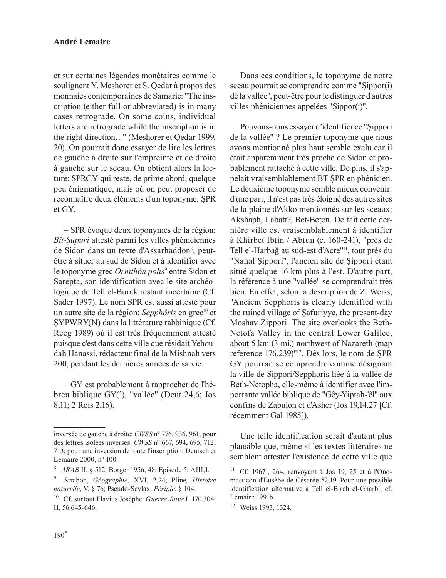et sur certaines légendes monétaires comme le soulignent Y. Meshorer et S. Qedar à propos des monnaies contemporaines de Samarie: "The inscription (either full or abbreviated) is in many cases retrograde. On some coins, individual letters are retrograde while the inscription is in the right direction…" (Meshorer et Qedar 1999, 20). On pourrait donc essayer de lire les lettres de gauche à droite sur l'empreinte et de droite à gauche sur le sceau. On obtient alors la lecture: SPRGY qui reste, de prime abord, quelque peu énigmatique, mais où on peut proposer de reconnaître deux éléments d'un toponyme: SPR et GY.

– SPR évoque deux toponymes de la région: *Bît-upuri* attesté parmi les villes phéniciennes de Sidon dans un texte d'Assarhaddon<sup>8</sup>, peutêtre à situer au sud de Sidon et à identifier avec le toponyme grec *Ornithôn polis*<sup>9</sup> entre Sidon et Sarepta, son identification avec le site archéologique de Tell el-Burak restant incertaine (Cf. Sader 1997). Le nom SPR est aussi attesté pour un autre site de la région: *Sepphôris* en grec<sup>10</sup> et YPWRY(N) dans la littérature rabbinique (Cf. Reeg 1989) où il est très fréquemment attesté puisque c'est dans cette ville que résidait Yehoudah Hanassi, rédacteur final de la Mishnah vers 200, pendant les dernières années de sa vie.

– GY est probablement à rapprocher de l'hébreu biblique GY('), "vallée" (Deut 24,6; Jos 8,11; 2 Rois 2,16).

Dans ces conditions, le toponyme de notre sceau pourrait se comprendre comme "Sippor(i) de la vallée", peut-être pour le distinguer d'autres villes phéniciennes appelées "Sippor(i)".

Pouvons-nous essayer d'identifier ce "Sippori de la vallée" ? Le premier toponyme que nous avons mentionné plus haut semble exclu car il était apparemment très proche de Sidon et probablement rattaché à cette ville. De plus, il s'appelait vraisemblablement BT SPR en phénicien. Le deuxième toponyme semble mieux convenir: d'une part, il n'est pas très éloigné des autres sites de la plaine d'Akko mentionnés sur les sceaux: Akshaph, Labatt?, Bet-Beten. De fait cette dernière ville est vraisemblablement à identifier à Khirbet Ibin / Abun (c. 160-241), "près de Tell el-Harbağ au sud-est d'Acre"<sup>11</sup>, tout près du "Nahal Sippori", l'ancien site de Sippori étant situé quelque 16 km plus à l'est. D'autre part, la référence à une "vallée" se comprendrait très bien. En effet, selon la description de Z. Weiss, "Ancient Sepphoris is clearly identified with the ruined village of Safuriyye, the present-day Moshav Zippori. The site overlooks the Beth-Netofa Valley in the central Lower Galilee, about 5 km (3 mi.) northwest of Nazareth (map reference 176.239)"<sup>12</sup>. Dès lors, le nom de SPR GY pourrait se comprendre comme désignant la ville de Sippori/Sepphoris liée à la vallée de Beth-Netopha, elle-même à identifier avec l'importante vallée biblique de "Gêy-Yiptah-'êl" aux confins de Zabulon et d'Asher (Jos 19,14.27 [Cf. récemment Gal 1985]).

Une telle identification serait d'autant plus plausible que, même si les textes littéraires ne semblent attester l'existence de cette ville que

inversée de gauche à droite: *CWSS* n° 776, 936, 961; pour des lettres isolées inverses: *CWSS* n° 667, 694, 695, 712, 713; pour une inversion de toute l'inscription: Deutsch et Lemaire 2000, n° 100.

<sup>8</sup> *ARAB* II, § 512; Borger 1956, 48: Episode 5: AIII,1.

<sup>9</sup> Strabon, *Géographie,* XVI, 2.24; Pline*, Histoire naturelle*, V, § 76; Pseudo-Scylax, *Périple*, § 104.

<sup>10</sup> Cf. surtout Flavius Josèphe: *Guerre Juive* I, 170.304; II, 56.645-646.

<sup>&</sup>lt;sup>11</sup> Cf. 1967<sup>3</sup>, 264, renvoyant à Jos 19, 25 et à l'Onomasticon d'Eusèbe de Césarée 52,19. Pour une possible identification alternative à Tell el-Bireh el-Gharbi, cf. Lemaire 1991b.

<sup>12</sup> Weiss 1993, 1324.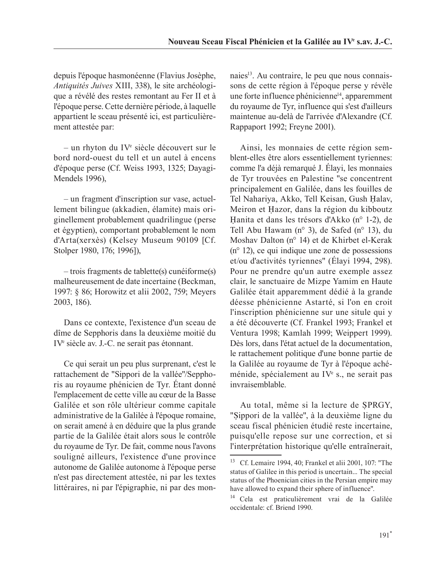depuis l'époque hasmonéenne (Flavius Josèphe, *Antiquités Juives* XIII, 338), le site archéologique a révélé des restes remontant au Fer II et à l'époque perse. Cette dernière période, à laquelle appartient le sceau présenté ici, est particulièrement attestée par:

– un rhyton du IVe siècle découvert sur le bord nord-ouest du tell et un autel à encens d'époque perse (Cf. Weiss 1993, 1325; Dayagi-Mendels 1996),

– un fragment d'inscription sur vase, actuellement bilingue (akkadien, élamite) mais originellement probablement quadrilingue (perse et égyptien), comportant probablement le nom d'Arta(xerxès) (Kelsey Museum 90109 [Cf. Stolper 1980, 176; 1996]),

– trois fragments de tablette(s) cunéiforme(s) malheureusement de date incertaine (Beckman, 1997: § 86; Horowitz et alii 2002, 759; Meyers 2003, 186).

Dans ce contexte, l'existence d'un sceau de dîme de Sepphoris dans la deuxième moitié du IVe siècle av. J.-C. ne serait pas étonnant.

Ce qui serait un peu plus surprenant, c'est le rattachement de "Sippori de la vallée"/Sepphoris au royaume phénicien de Tyr. Étant donné l'emplacement de cette ville au cœur de la Basse Galilée et son rôle ultérieur comme capitale administrative de la Galilée à l'époque romaine, on serait amené à en déduire que la plus grande partie de la Galilée était alors sous le contrôle du royaume de Tyr. De fait, comme nous l'avons souligné ailleurs, l'existence d'une province autonome de Galilée autonome à l'époque perse n'est pas directement attestée, ni par les textes littéraires, ni par l'épigraphie, ni par des monnaies<sup>13</sup>. Au contraire, le peu que nous connaissons de cette région à l'époque perse y révèle une forte influence phénicienne<sup>14</sup>, apparemment du royaume de Tyr, influence qui s'est d'ailleurs maintenue au-delà de l'arrivée d'Alexandre (Cf. Rappaport 1992; Freyne 2001).

Ainsi, les monnaies de cette région semblent-elles être alors essentiellement tyriennes: comme l'a déjà remarqué J. Élayi, les monnaies de Tyr trouvées en Palestine "se concentrent principalement en Galilée, dans les fouilles de Tel Nahariya, Akko, Tell Keisan, Gush Halav, Meiron et Hazor, dans la région du kibboutz anita et dans les trésors d'Akko (n° 1-2), de Tell Abu Hawam (n° 3), de Safed (n° 13), du Moshav Dalton (n° 14) et de Khirbet el-Kerak (n° 12), ce qui indique une zone de possessions et/ou d'activités tyriennes" (Élayi 1994, 298). Pour ne prendre qu'un autre exemple assez clair, le sanctuaire de Mizpe Yamim en Haute Galilée était apparemment dédié à la grande déesse phénicienne Astarté, si l'on en croit l'inscription phénicienne sur une situle qui y a été découverte (Cf. Frankel 1993; Frankel et Ventura 1998; Kamlah 1999; Weippert 1999). Dès lors, dans l'état actuel de la documentation, le rattachement politique d'une bonne partie de la Galilée au royaume de Tyr à l'époque achéménide, spécialement au IVe s., ne serait pas invraisemblable.

Au total, même si la lecture de SPRGY, "Sippori de la vallée", à la deuxième ligne du sceau fiscal phénicien étudié reste incertaine, puisqu'elle repose sur une correction, et si l'interprétation historique qu'elle entraînerait,

<sup>13</sup> Cf. Lemaire 1994, 40; Frankel et alii 2001, 107: "The status of Galilee in this period is uncertain... The special status of the Phoenician cities in the Persian empire may have allowed to expand their sphere of influence".

<sup>14</sup> Cela est praticulièrement vrai de la Galilée occidentale: cf. Briend 1990.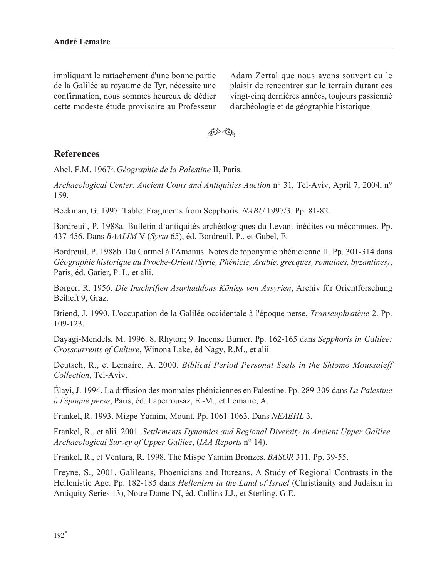impliquant le rattachement d'une bonne partie de la Galilée au royaume de Tyr, nécessite une confirmation, nous sommes heureux de dédier cette modeste étude provisoire au Professeur

Adam Zertal que nous avons souvent eu le plaisir de rencontrer sur le terrain durant ces vingt-cinq dernières années, toujours passionné d'archéologie et de géographie historique.



#### **References**

Abel, F.M. 19673 . *Géographie de la Palestine* II, Paris.

*Archaeological Center. Ancient Coins and Antiquities Auction* n° 31*,* Tel-Aviv, April 7, 2004, n° 159.

Beckman, G. 1997. Tablet Fragments from Sepphoris. *NABU* 1997/3. Pp. 81-82.

Bordreuil, P. 1988a. Bulletin d`antiquités archéologiques du Levant inédites ou méconnues. Pp. 437-456. Dans *BAALIM* V (*Syria* 65), éd. Bordreuil, P., et Gubel, E.

Bordreuil, P. 1988b. Du Carmel à l'Amanus. Notes de toponymie phénicienne II. Pp. 301-314 dans *Géographie historique au Proche-Orient (Syrie, Phénicie, Arabie, grecques, romaines, byzantines)*, Paris, éd. Gatier, P. L. et alii.

Borger, R. 1956. *Die Inschriften Asarhaddons Königs von Assyrien*, Archiv für Orientforschung Beiheft 9, Graz.

Briend, J. 1990. L'occupation de la Galilée occidentale à l'époque perse, *Transeuphratène* 2. Pp. 109-123.

Dayagi-Mendels, M. 1996. 8. Rhyton; 9. Incense Burner. Pp. 162-165 dans *Sepphoris in Galilee: Crosscurrents of Culture*, Winona Lake, éd Nagy, R.M., et alii.

Deutsch, R., et Lemaire, A. 2000. *Biblical Period Personal Seals in the Shlomo Moussaieff Collection*, Tel-Aviv.

Élayi, J. 1994. La diffusion des monnaies phéniciennes en Palestine. Pp. 289-309 dans *La Palestine à l'époque perse*, Paris, éd. Laperrousaz, E.-M., et Lemaire, A.

Frankel, R. 1993. Mizpe Yamim, Mount. Pp. 1061-1063. Dans *NEAEHL* 3.

Frankel, R., et alii. 2001. *Settlements Dynamics and Regional Diversity in Ancient Upper Galilee. Archaeological Survey of Upper Galilee*, (*IAA Reports* n° 14).

Frankel, R., et Ventura, R. 1998. The Mispe Yamim Bronzes. *BASOR* 311. Pp. 39-55.

Freyne, S., 2001. Galileans, Phoenicians and Itureans. A Study of Regional Contrasts in the Hellenistic Age. Pp. 182-185 dans *Hellenism in the Land of Israel* (Christianity and Judaism in Antiquity Series 13), Notre Dame IN, éd. Collins J.J., et Sterling, G.E.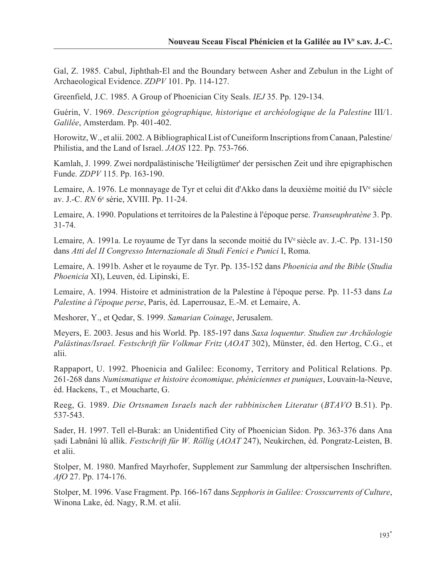Gal, Z. 1985. Cabul, Jiphthah-El and the Boundary between Asher and Zebulun in the Light of Archaeological Evidence. *ZDPV* 101. Pp. 114-127.

Greenfield, J.C. 1985. A Group of Phoenician City Seals. *IEJ* 35. Pp. 129-134.

Guérin, V. 1969. *Description géographique, historique et archéologique de la Palestine* III/1. *Galilée*, Amsterdam. Pp. 401-402.

Horowitz, W., et alii. 2002. A Bibliographical List of Cuneiform Inscriptions from Canaan, Palestine/ Philistia, and the Land of Israel. *JAOS* 122. Pp. 753-766.

Kamlah, J. 1999. Zwei nordpalästinische 'Heiligtümer' der persischen Zeit und ihre epigraphischen Funde. *ZDPV* 115. Pp. 163-190.

Lemaire, A. 1976. Le monnayage de Tyr et celui dit d'Akko dans la deuxième moitié du IV<sup>e</sup> siècle av. J.-C. *RN* 6e série, XVIII. Pp. 11-24.

Lemaire, A. 1990. Populations et territoires de la Palestine à l'époque perse. *Transeuphratène* 3. Pp. 31-74.

Lemaire, A. 1991a. Le royaume de Tyr dans la seconde moitié du IVe siècle av. J.-C. Pp. 131-150 dans *Atti del II Congresso Internazionale di Studi Fenici e Punici* I, Roma.

Lemaire, A. 1991b. Asher et le royaume de Tyr. Pp. 135-152 dans *Phoenicia and the Bible* (*Studia Phoenicia* XI), Leuven, éd. Lipinski, E.

Lemaire, A. 1994. Histoire et administration de la Palestine à l'époque perse. Pp. 11-53 dans *La Palestine à l'époque perse*, Paris, éd. Laperrousaz, E.-M. et Lemaire, A.

Meshorer, Y., et Qedar, S. 1999. *Samarian Coinage*, Jerusalem.

Meyers, E. 2003. Jesus and his World. Pp. 185-197 dans *Saxa loquentur. Studien zur Archäologie Palästinas/Israel. Festschrift für Volkmar Fritz* (*AOAT* 302), Münster, éd. den Hertog, C.G., et alii.

Rappaport, U. 1992. Phoenicia and Galilee: Economy, Territory and Political Relations. Pp. 261-268 dans *Numismatique et histoire économique, phéniciennes et puniques*, Louvain-la-Neuve, éd. Hackens, T., et Moucharte, G.

Reeg, G. 1989. *Die Ortsnamen Israels nach der rabbinischen Literatur* (*BTAVO* B.51). Pp. 537-543.

Sader, H. 1997. Tell el-Burak: an Unidentified City of Phoenician Sidon. Pp. 363-376 dans Ana adi Labnâni lû allik. *Festschrift für W. Röllig* (*AOAT* 247), Neukirchen, éd. Pongratz-Leisten, B. et alii.

Stolper, M. 1980. Manfred Mayrhofer, Supplement zur Sammlung der altpersischen Inschriften. *AfO* 27. Pp. 174-176.

Stolper, M. 1996. Vase Fragment. Pp. 166-167 dans *Sepphoris in Galilee: Crosscurrents of Culture*, Winona Lake, éd. Nagy, R.M. et alii.